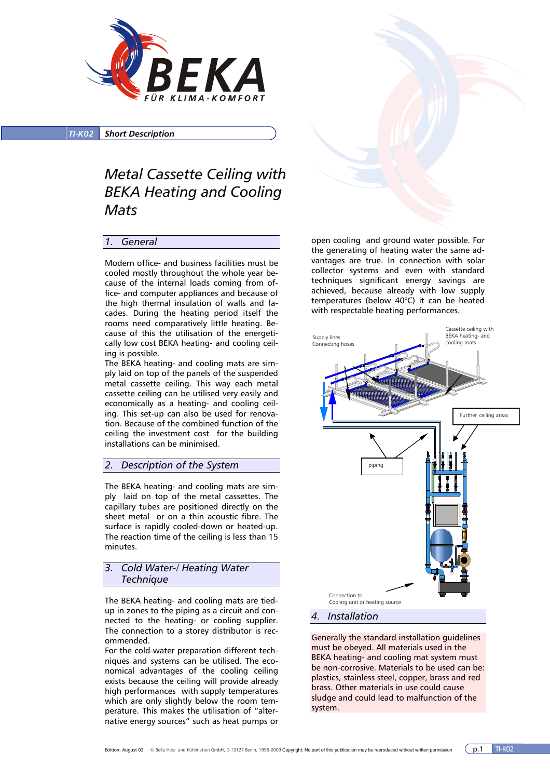

*TI-K02 Short Description*

# *Metal Cassette Ceiling with BEKA Heating and Cooling Mats*

# *1. General*

Modern office- and business facilities must be cooled mostly throughout the whole year because of the internal loads coming from office- and computer appliances and because of the high thermal insulation of walls and facades. During the heating period itself the rooms need comparatively little heating. Because of this the utilisation of the energetically low cost BEKA heating- and cooling ceiling is possible.

The BEKA heating- and cooling mats are simply laid on top of the panels of the suspended metal cassette ceiling. This way each metal cassette ceiling can be utilised very easily and economically as a heating- and cooling ceiling. This set-up can also be used for renovation. Because of the combined function of the ceiling the investment cost for the building installations can be minimised.

# *2. Description of the System*

The BEKA heating- and cooling mats are simply laid on top of the metal cassettes. The capillary tubes are positioned directly on the sheet metal or on a thin acoustic fibre. The surface is rapidly cooled-down or heated-up. The reaction time of the ceiling is less than 15 minutes.

# *3. Cold Water-/ Heating Water Technique*

The BEKA heating- and cooling mats are tiedup in zones to the piping as a circuit and connected to the heating- or cooling supplier. The connection to a storey distributor is recommended.

For the cold-water preparation different techniques and systems can be utilised. The economical advantages of the cooling ceiling exists because the ceiling will provide already high performances with supply temperatures which are only slightly below the room temperature. This makes the utilisation of "alternative energy sources" such as heat pumps or

open cooling and ground water possible. For the generating of heating water the same advantages are true. In connection with solar collector systems and even with standard techniques significant energy savings are achieved, because already with low supply temperatures (below 40°C) it can be heated with respectable heating performances.



# *4. Installation*

Generally the standard installation guidelines must be obeyed. All materials used in the BEKA heating- and cooling mat system must be non-corrosive. Materials to be used can be: plastics, stainless steel, copper, brass and red brass. Other materials in use could cause sludge and could lead to malfunction of the system.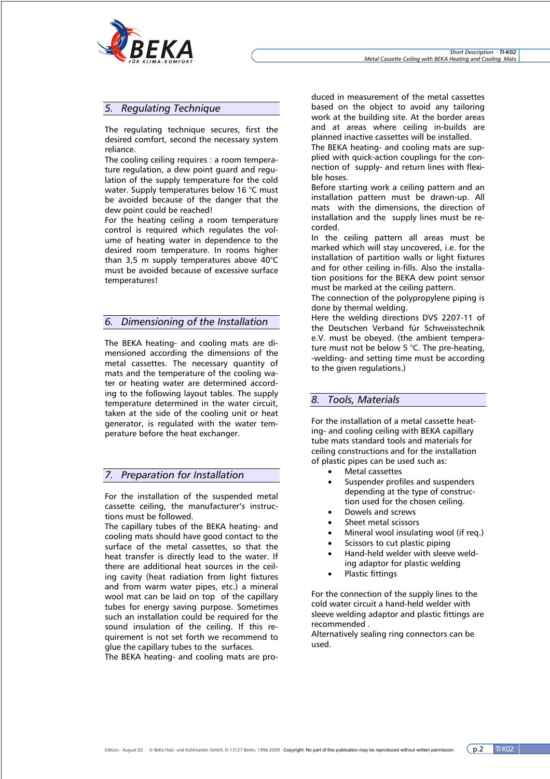

# *5. Regulating Technique*

The regulating technique secures, first the desired comfort, second the necessary system reliance.

The cooling ceiling requires : a room temperature regulation, a dew point guard and regulation of the supply temperature for the cold water. Supply temperatures below 16 °C must be avoided because of the danger that the dew point could be reached!

For the heating ceiling a room temperature control is required which regulates the volume of heating water in dependence to the desired room temperature. In rooms higher than 3,5 m supply temperatures above 40°C must be avoided because of excessive surface temperatures!

# *6. Dimensioning of the Installation*

The BEKA heating- and cooling mats are dimensioned according the dimensions of the metal cassettes. The necessary quantity of mats and the temperature of the cooling water or heating water are determined according to the following layout tables. The supply temperature determined in the water circuit, taken at the side of the cooling unit or heat generator, is regulated with the water temperature before the heat exchanger.

# *7. Preparation for Installation*

For the installation of the suspended metal cassette ceiling, the manufacturer's instructions must be followed.

The capillary tubes of the BEKA heating- and cooling mats should have good contact to the surface of the metal cassettes, so that the heat transfer is directly lead to the water. If there are additional heat sources in the ceiling cavity (heat radiation from light fixtures and from warm water pipes, etc.) a mineral wool mat can be laid on top of the capillary tubes for energy saving purpose. Sometimes such an installation could be required for the sound insulation of the ceiling. If this requirement is not set forth we recommend to glue the capillary tubes to the surfaces.

The BEKA heating- and cooling mats are pro-

duced in measurement of the metal cassettes based on the object to avoid any tailoring work at the building site. At the border areas and at areas where ceiling in-builds are planned inactive cassettes will be installed.

The BEKA heating- and cooling mats are supplied with quick-action couplings for the connection of supply- and return lines with flexible hoses.

Before starting work a ceiling pattern and an installation pattern must be drawn-up. All mats with the dimensions, the direction of installation and the supply lines must be recorded.

In the ceiling pattern all areas must be marked which will stay uncovered, i.e. for the installation of partition walls or light fixtures and for other ceiling in-fills. Also the installation positions for the BEKA dew point sensor must be marked at the ceiling pattern.

The connection of the polypropylene piping is done by thermal welding.

Here the welding directions DVS 2207-11 of the Deutschen Verband für Schweisstechnik e.V. must be obeyed. (the ambient temperature must not be below 5 °C. The pre-heating, -welding- and setting time must be according to the given regulations.)

# *8. Tools, Materials*

For the installation of a metal cassette heating- and cooling ceiling with BEKA capillary tube mats standard tools and materials for ceiling constructions and for the installation of plastic pipes can be used such as:

- Metal cassettes
- Suspender profiles and suspenders depending at the type of construction used for the chosen ceiling.
- Dowels and screws
- Sheet metal scissors
- Mineral wool insulating wool (if req.)
- Scissors to cut plastic piping
- Hand-held welder with sleeve welding adaptor for plastic welding
- Plastic fittings

For the connection of the supply lines to the cold water circuit a hand-held welder with sleeve welding adaptor and plastic fittings are recommended .

Alternatively sealing ring connectors can be used.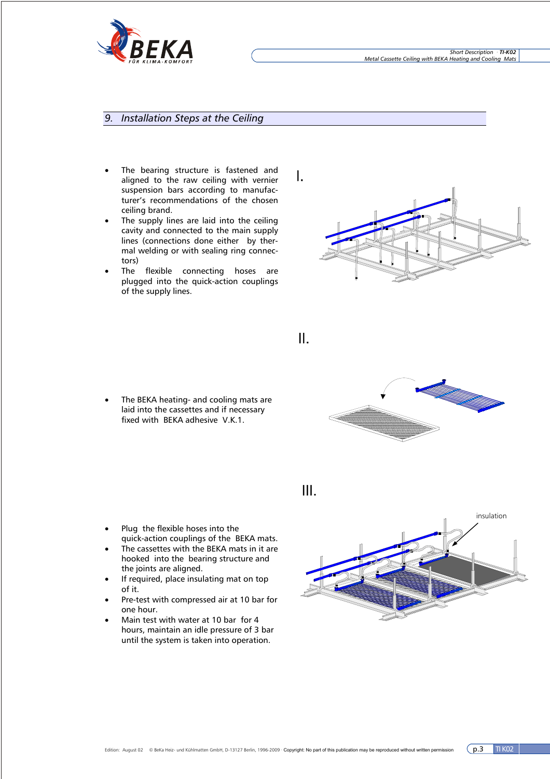

# *9. Installation Steps at the Ceiling*

- The bearing structure is fastened and aligned to the raw ceiling with vernier suspension bars according to manufacturer's recommendations of the chosen ceiling brand.
- The supply lines are laid into the ceiling cavity and connected to the main supply lines (connections done either by thermal welding or with sealing ring connectors)
- The flexible connecting hoses are plugged into the quick-action couplings of the supply lines.



II.



The BEKA heating- and cooling mats are laid into the cassettes and if necessary fixed with BEKA adhesive V.K.1.

III.

- insulation
- Plug the flexible hoses into the quick-action couplings of the BEKA mats. The cassettes with the BEKA mats in it are
- hooked into the bearing structure and the joints are aligned.
- If required, place insulating mat on top of it.
- Pre-test with compressed air at 10 bar for one hour.
- Main test with water at 10 bar for 4 hours, maintain an idle pressure of 3 bar until the system is taken into operation.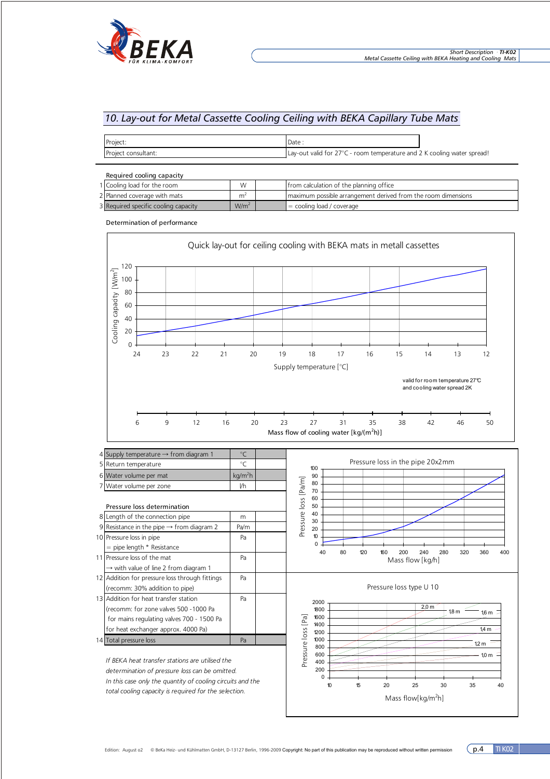

# *10. Lay-out for Metal Cassette Cooling Ceiling with BEKA Capillary Tube Mats*

| Project:            | Date                                                                    |  |
|---------------------|-------------------------------------------------------------------------|--|
| Project consultant: | Lay-out valid for 27°C - room temperature and 2 K cooling water spread! |  |

| Required cooling capacity            |                |  |                                                               |
|--------------------------------------|----------------|--|---------------------------------------------------------------|
| 1 Cooling load for the room          | W              |  | from calculation of the planning office                       |
| 2 Planned coverage with mats         | m <sup>4</sup> |  | maximum possible arrangement derived from the room dimensions |
| 3 Required specific cooling capacity | $W/m^2$        |  | $\blacksquare$ = cooling load / coverage                      |

Determination of performance



*In this case only the quantity of cooling circuits and the total cooling capacity is required for the selection.*

10 15 20 25 30 35 40 M assenstrom (kg/m2h)

10 15 20 25 30 35 40 Mass flow[kg/m<sup>2</sup>h]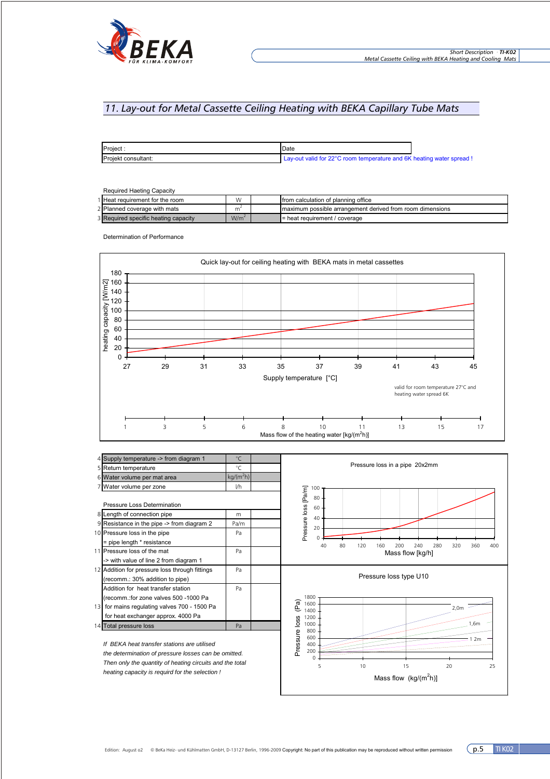

# *11. Lay-out for Metal Cassette Ceiling Heating with BEKA Capillary Tube Mats*

| Project             | Date                                                                  |  |
|---------------------|-----------------------------------------------------------------------|--|
| Projekt consultant: | Lay-out valid for 22°C room temperature and 6K heating water spread ! |  |

### Required Haeting Capacity

| 1 Heat requirement for the room      | W                | <b>Ifrom calculation of planning office</b>               |
|--------------------------------------|------------------|-----------------------------------------------------------|
| 2 Planned coverage with mats         | m                | maximum possible arrangement derived from room dimensions |
| 3 Required specific heating capacity | W/m <sup>*</sup> | $I$ = heat requirement / coverage                         |

Determination of Performance



|    | Supply temperature -> from diagram 1           | °C          |  |
|----|------------------------------------------------|-------------|--|
|    | 5 Return temperature                           | ℃           |  |
|    | 6 Water volume per mat area                    | $kg/(m^2h)$ |  |
|    | Water volume per zone                          | I/h         |  |
|    |                                                |             |  |
|    | <b>Pressure Loss Determination</b>             |             |  |
|    | 8 Length of connection pipe                    | m           |  |
|    | 9 Resistance in the pipe -> from diagram 2     | Pa/m        |  |
|    | 10 Pressure loss in the pipe                   | Pa          |  |
|    | = pipe length * resistance                     |             |  |
|    | 11 Pressure loss of the mat                    | Pa          |  |
|    | -> with value of line 2 from diagram 1         |             |  |
|    | 12 Addition for pressure loss through fittings | Pa          |  |
|    | (recomm.: 30% addition to pipe)                |             |  |
|    | Addition for heat transfer station             | Pa          |  |
|    | (recomm.:for zone valves 500 -1000 Pa          |             |  |
| 13 | for mains regulating valves 700 - 1500 Pa      |             |  |
|    | for heat exchanger approx. 4000 Pa             |             |  |
|    | 14 Total pressure loss                         | Pa          |  |
|    |                                                |             |  |

*If BEKA heat transfer stations are utilised the determination of pressure losses can be omitted. Then only the quantity of heating circuits and the total heating capacity is requird for the selection !*